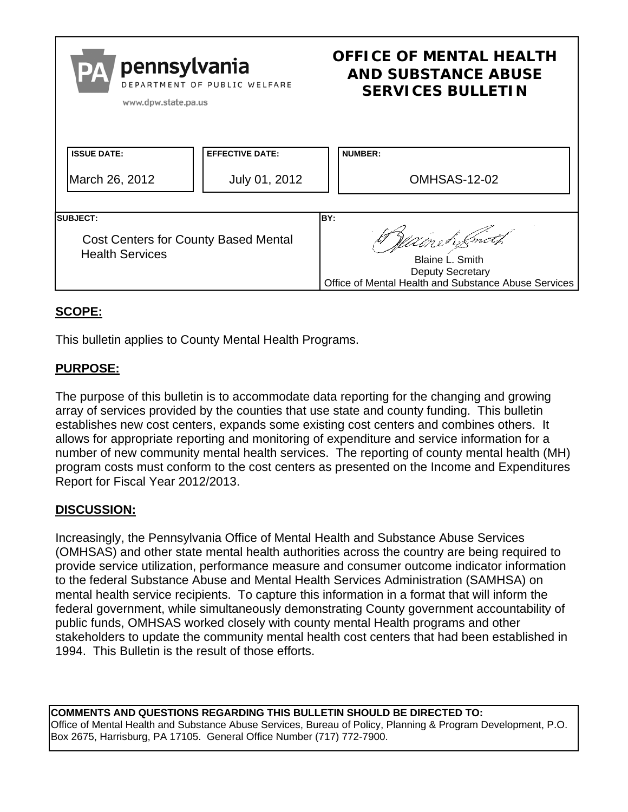| pennsylvania<br>PA<br>DEPARTMENT OF PUBLIC WELFARE<br>www.dpw.state.pa.us                 |                        | <b>OFFICE OF MENTAL HEALTH</b><br><b>AND SUBSTANCE ABUSE</b><br><b>SERVICES BULLETIN</b>                                   |
|-------------------------------------------------------------------------------------------|------------------------|----------------------------------------------------------------------------------------------------------------------------|
| <b>ISSUE DATE:</b>                                                                        | <b>EFFECTIVE DATE:</b> | <b>NUMBER:</b>                                                                                                             |
| March 26, 2012                                                                            | July 01, 2012          | OMHSAS-12-02                                                                                                               |
| <b>ISUBJECT:</b><br><b>Cost Centers for County Based Mental</b><br><b>Health Services</b> |                        | IBY:<br>Walneh Smith<br>Blaine L. Smith<br><b>Deputy Secretary</b><br>Office of Mental Health and Substance Abuse Services |

# **SCOPE:**

This bulletin applies to County Mental Health Programs.

# **PURPOSE:**

The purpose of this bulletin is to accommodate data reporting for the changing and growing array of services provided by the counties that use state and county funding. This bulletin establishes new cost centers, expands some existing cost centers and combines others. It allows for appropriate reporting and monitoring of expenditure and service information for a number of new community mental health services. The reporting of county mental health (MH) program costs must conform to the cost centers as presented on the Income and Expenditures Report for Fiscal Year 2012/2013.

# **DISCUSSION:**

Increasingly, the Pennsylvania Office of Mental Health and Substance Abuse Services (OMHSAS) and other state mental health authorities across the country are being required to provide service utilization, performance measure and consumer outcome indicator information to the federal Substance Abuse and Mental Health Services Administration (SAMHSA) on mental health service recipients. To capture this information in a format that will inform the federal government, while simultaneously demonstrating County government accountability of public funds, OMHSAS worked closely with county mental Health programs and other stakeholders to update the community mental health cost centers that had been established in 1994. This Bulletin is the result of those efforts.

**COMMENTS AND QUESTIONS REGARDING THIS BULLETIN SHOULD BE DIRECTED TO:**  Office of Mental Health and Substance Abuse Services, Bureau of Policy, Planning & Program Development, P.O. Box 2675, Harrisburg, PA 17105. General Office Number (717) 772-7900.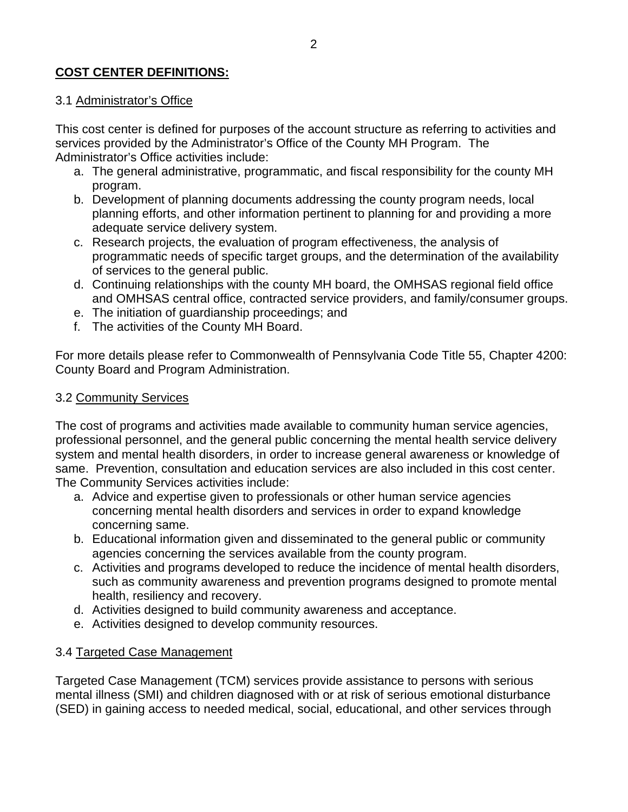# **COST CENTER DEFINITIONS:**

### 3.1 Administrator's Office

This cost center is defined for purposes of the account structure as referring to activities and services provided by the Administrator's Office of the County MH Program. The Administrator's Office activities include:

- a. The general administrative, programmatic, and fiscal responsibility for the county MH program.
- b. Development of planning documents addressing the county program needs, local planning efforts, and other information pertinent to planning for and providing a more adequate service delivery system.
- c. Research projects, the evaluation of program effectiveness, the analysis of programmatic needs of specific target groups, and the determination of the availability of services to the general public.
- d. Continuing relationships with the county MH board, the OMHSAS regional field office and OMHSAS central office, contracted service providers, and family/consumer groups.
- e. The initiation of guardianship proceedings; and
- f. The activities of the County MH Board.

For more details please refer to Commonwealth of Pennsylvania Code Title 55, Chapter 4200: County Board and Program Administration.

#### 3.2 Community Services

The cost of programs and activities made available to community human service agencies, professional personnel, and the general public concerning the mental health service delivery system and mental health disorders, in order to increase general awareness or knowledge of same. Prevention, consultation and education services are also included in this cost center. The Community Services activities include:

- a. Advice and expertise given to professionals or other human service agencies concerning mental health disorders and services in order to expand knowledge concerning same.
- b. Educational information given and disseminated to the general public or community agencies concerning the services available from the county program.
- c. Activities and programs developed to reduce the incidence of mental health disorders, such as community awareness and prevention programs designed to promote mental health, resiliency and recovery.
- d. Activities designed to build community awareness and acceptance.
- e. Activities designed to develop community resources.

## 3.4 Targeted Case Management

Targeted Case Management (TCM) services provide assistance to persons with serious mental illness (SMI) and children diagnosed with or at risk of serious emotional disturbance (SED) in gaining access to needed medical, social, educational, and other services through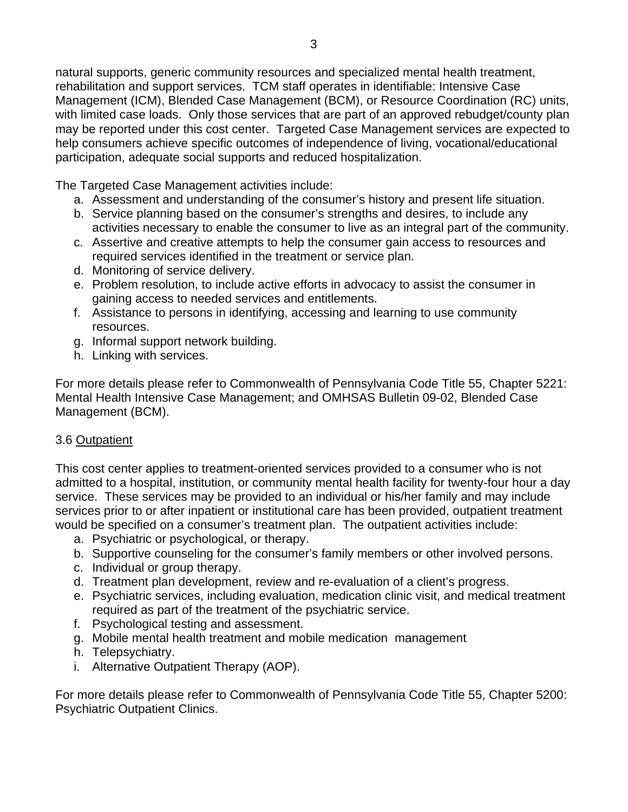natural supports, generic community resources and specialized mental health treatment, rehabilitation and support services. TCM staff operates in identifiable: Intensive Case Management (ICM), Blended Case Management (BCM), or Resource Coordination (RC) units, with limited case loads. Only those services that are part of an approved rebudget/county plan may be reported under this cost center. Targeted Case Management services are expected to help consumers achieve specific outcomes of independence of living, vocational/educational participation, adequate social supports and reduced hospitalization.

The Targeted Case Management activities include:

- a. Assessment and understanding of the consumer's history and present life situation.
- b. Service planning based on the consumer's strengths and desires, to include any activities necessary to enable the consumer to live as an integral part of the community.
- c. Assertive and creative attempts to help the consumer gain access to resources and required services identified in the treatment or service plan.
- d. Monitoring of service delivery.
- e. Problem resolution, to include active efforts in advocacy to assist the consumer in gaining access to needed services and entitlements.
- f. Assistance to persons in identifying, accessing and learning to use community resources.
- g. Informal support network building.
- h. Linking with services.

For more details please refer to Commonwealth of Pennsylvania Code Title 55, Chapter 5221: Mental Health Intensive Case Management; and OMHSAS Bulletin 09-02, Blended Case Management (BCM).

## 3.6 Outpatient

This cost center applies to treatment-oriented services provided to a consumer who is not admitted to a hospital, institution, or community mental health facility for twenty-four hour a day service. These services may be provided to an individual or his/her family and may include services prior to or after inpatient or institutional care has been provided, outpatient treatment would be specified on a consumer's treatment plan. The outpatient activities include:

- a. Psychiatric or psychological, or therapy.
- b. Supportive counseling for the consumer's family members or other involved persons.
- c. Individual or group therapy.
- d. Treatment plan development, review and re-evaluation of a client's progress.
- e. Psychiatric services, including evaluation, medication clinic visit, and medical treatment required as part of the treatment of the psychiatric service.
- f. Psychological testing and assessment.
- g. Mobile mental health treatment and mobile medication management
- h. Telepsychiatry.
- i. Alternative Outpatient Therapy (AOP).

For more details please refer to Commonwealth of Pennsylvania Code Title 55, Chapter 5200: Psychiatric Outpatient Clinics.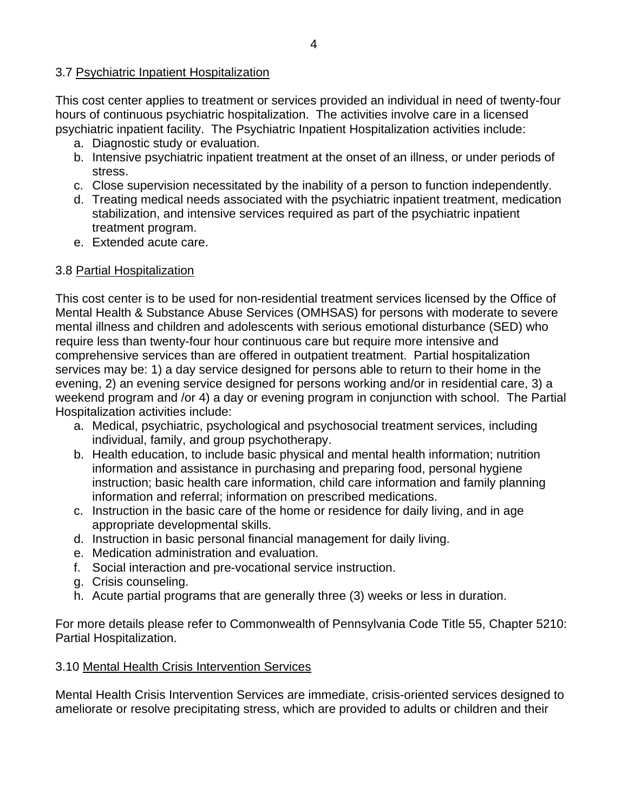### 3.7 Psychiatric Inpatient Hospitalization

This cost center applies to treatment or services provided an individual in need of twenty-four hours of continuous psychiatric hospitalization. The activities involve care in a licensed psychiatric inpatient facility. The Psychiatric Inpatient Hospitalization activities include:

- a. Diagnostic study or evaluation.
- b. Intensive psychiatric inpatient treatment at the onset of an illness, or under periods of stress.
- c. Close supervision necessitated by the inability of a person to function independently.
- d. Treating medical needs associated with the psychiatric inpatient treatment, medication stabilization, and intensive services required as part of the psychiatric inpatient treatment program.
- e. Extended acute care.

### 3.8 Partial Hospitalization

This cost center is to be used for non-residential treatment services licensed by the Office of Mental Health & Substance Abuse Services (OMHSAS) for persons with moderate to severe mental illness and children and adolescents with serious emotional disturbance (SED) who require less than twenty-four hour continuous care but require more intensive and comprehensive services than are offered in outpatient treatment. Partial hospitalization services may be: 1) a day service designed for persons able to return to their home in the evening, 2) an evening service designed for persons working and/or in residential care, 3) a weekend program and /or 4) a day or evening program in conjunction with school. The Partial Hospitalization activities include:

- a. Medical, psychiatric, psychological and psychosocial treatment services, including individual, family, and group psychotherapy.
- b. Health education, to include basic physical and mental health information; nutrition information and assistance in purchasing and preparing food, personal hygiene instruction; basic health care information, child care information and family planning information and referral; information on prescribed medications.
- c. Instruction in the basic care of the home or residence for daily living, and in age appropriate developmental skills.
- d. Instruction in basic personal financial management for daily living.
- e. Medication administration and evaluation.
- f. Social interaction and pre-vocational service instruction.
- g. Crisis counseling.
- h. Acute partial programs that are generally three (3) weeks or less in duration.

For more details please refer to Commonwealth of Pennsylvania Code Title 55, Chapter 5210: Partial Hospitalization.

## 3.10 Mental Health Crisis Intervention Services

Mental Health Crisis Intervention Services are immediate, crisis-oriented services designed to ameliorate or resolve precipitating stress, which are provided to adults or children and their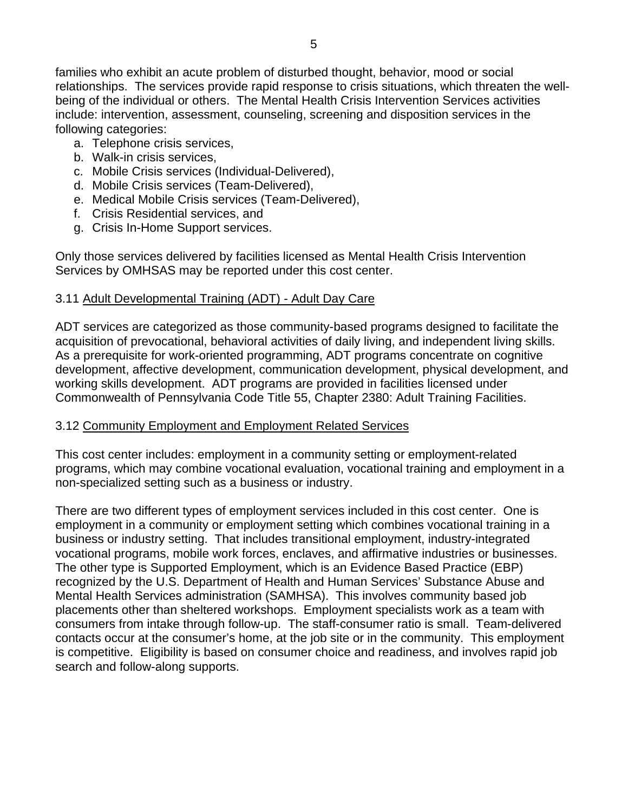families who exhibit an acute problem of disturbed thought, behavior, mood or social relationships. The services provide rapid response to crisis situations, which threaten the wellbeing of the individual or others. The Mental Health Crisis Intervention Services activities include: intervention, assessment, counseling, screening and disposition services in the following categories:

- a. Telephone crisis services,
- b. Walk-in crisis services,
- c. Mobile Crisis services (Individual-Delivered),
- d. Mobile Crisis services (Team-Delivered),
- e. Medical Mobile Crisis services (Team-Delivered),
- f. Crisis Residential services, and
- g. Crisis In-Home Support services.

Only those services delivered by facilities licensed as Mental Health Crisis Intervention Services by OMHSAS may be reported under this cost center.

## 3.11 Adult Developmental Training (ADT) - Adult Day Care

ADT services are categorized as those community-based programs designed to facilitate the acquisition of prevocational, behavioral activities of daily living, and independent living skills. As a prerequisite for work-oriented programming, ADT programs concentrate on cognitive development, affective development, communication development, physical development, and working skills development. ADT programs are provided in facilities licensed under Commonwealth of Pennsylvania Code Title 55, Chapter 2380: Adult Training Facilities.

## 3.12 Community Employment and Employment Related Services

This cost center includes: employment in a community setting or employment-related programs, which may combine vocational evaluation, vocational training and employment in a non-specialized setting such as a business or industry.

There are two different types of employment services included in this cost center. One is employment in a community or employment setting which combines vocational training in a business or industry setting. That includes transitional employment, industry-integrated vocational programs, mobile work forces, enclaves, and affirmative industries or businesses. The other type is Supported Employment, which is an Evidence Based Practice (EBP) recognized by the U.S. Department of Health and Human Services' Substance Abuse and Mental Health Services administration (SAMHSA). This involves community based job placements other than sheltered workshops. Employment specialists work as a team with consumers from intake through follow-up. The staff-consumer ratio is small. Team-delivered contacts occur at the consumer's home, at the job site or in the community. This employment is competitive. Eligibility is based on consumer choice and readiness, and involves rapid job search and follow-along supports.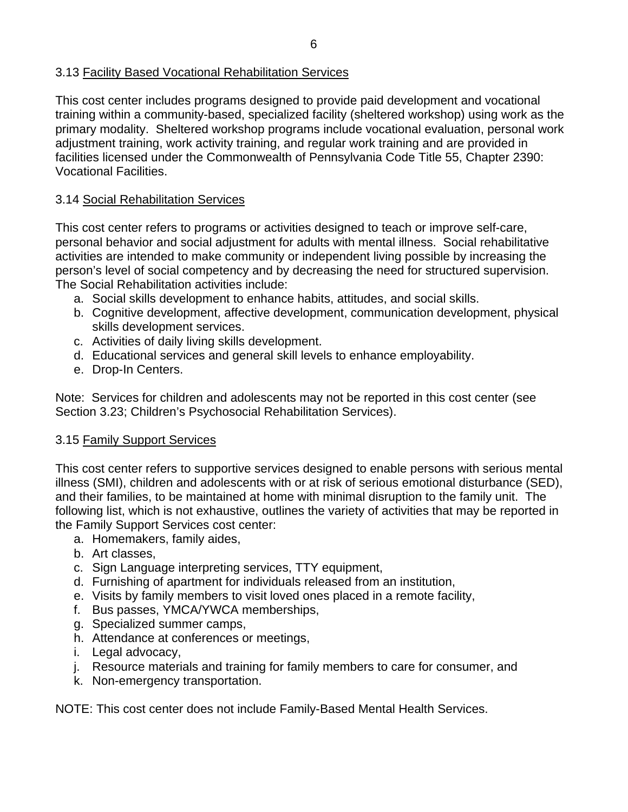### 3.13 Facility Based Vocational Rehabilitation Services

This cost center includes programs designed to provide paid development and vocational training within a community-based, specialized facility (sheltered workshop) using work as the primary modality. Sheltered workshop programs include vocational evaluation, personal work adjustment training, work activity training, and regular work training and are provided in facilities licensed under the Commonwealth of Pennsylvania Code Title 55, Chapter 2390: Vocational Facilities.

## 3.14 Social Rehabilitation Services

This cost center refers to programs or activities designed to teach or improve self-care, personal behavior and social adjustment for adults with mental illness. Social rehabilitative activities are intended to make community or independent living possible by increasing the person's level of social competency and by decreasing the need for structured supervision. The Social Rehabilitation activities include:

- a. Social skills development to enhance habits, attitudes, and social skills.
- b. Cognitive development, affective development, communication development, physical skills development services.
- c. Activities of daily living skills development.
- d. Educational services and general skill levels to enhance employability.
- e. Drop-In Centers.

Note: Services for children and adolescents may not be reported in this cost center (see Section 3.23; Children's Psychosocial Rehabilitation Services).

#### 3.15 Family Support Services

This cost center refers to supportive services designed to enable persons with serious mental illness (SMI), children and adolescents with or at risk of serious emotional disturbance (SED), and their families, to be maintained at home with minimal disruption to the family unit. The following list, which is not exhaustive, outlines the variety of activities that may be reported in the Family Support Services cost center:

- a. Homemakers, family aides,
- b. Art classes,
- c. Sign Language interpreting services, TTY equipment,
- d. Furnishing of apartment for individuals released from an institution,
- e. Visits by family members to visit loved ones placed in a remote facility,
- f. Bus passes, YMCA/YWCA memberships,
- g. Specialized summer camps,
- h. Attendance at conferences or meetings,
- i. Legal advocacy,
- j. Resource materials and training for family members to care for consumer, and
- k. Non-emergency transportation.

NOTE: This cost center does not include Family-Based Mental Health Services.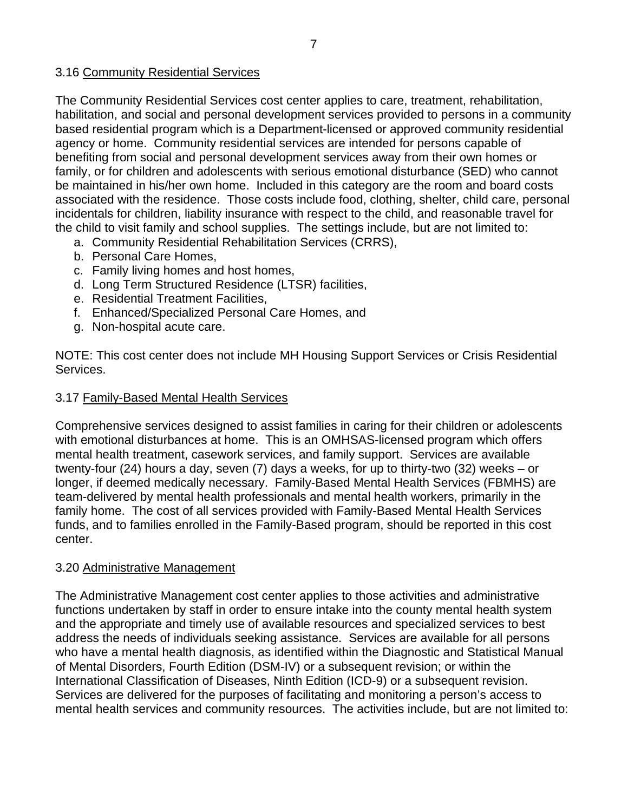### 3.16 Community Residential Services

The Community Residential Services cost center applies to care, treatment, rehabilitation, habilitation, and social and personal development services provided to persons in a community based residential program which is a Department-licensed or approved community residential agency or home. Community residential services are intended for persons capable of benefiting from social and personal development services away from their own homes or family, or for children and adolescents with serious emotional disturbance (SED) who cannot be maintained in his/her own home. Included in this category are the room and board costs associated with the residence. Those costs include food, clothing, shelter, child care, personal incidentals for children, liability insurance with respect to the child, and reasonable travel for the child to visit family and school supplies. The settings include, but are not limited to:

- a. Community Residential Rehabilitation Services (CRRS),
- b. Personal Care Homes,
- c. Family living homes and host homes,
- d. Long Term Structured Residence (LTSR) facilities,
- e. Residential Treatment Facilities,
- f. Enhanced/Specialized Personal Care Homes, and
- g. Non-hospital acute care.

NOTE: This cost center does not include MH Housing Support Services or Crisis Residential Services.

#### 3.17 Family-Based Mental Health Services

Comprehensive services designed to assist families in caring for their children or adolescents with emotional disturbances at home. This is an OMHSAS-licensed program which offers mental health treatment, casework services, and family support. Services are available twenty-four (24) hours a day, seven (7) days a weeks, for up to thirty-two (32) weeks – or longer, if deemed medically necessary. Family-Based Mental Health Services (FBMHS) are team-delivered by mental health professionals and mental health workers, primarily in the family home. The cost of all services provided with Family-Based Mental Health Services funds, and to families enrolled in the Family-Based program, should be reported in this cost center.

#### 3.20 Administrative Management

The Administrative Management cost center applies to those activities and administrative functions undertaken by staff in order to ensure intake into the county mental health system and the appropriate and timely use of available resources and specialized services to best address the needs of individuals seeking assistance. Services are available for all persons who have a mental health diagnosis, as identified within the Diagnostic and Statistical Manual of Mental Disorders, Fourth Edition (DSM-IV) or a subsequent revision; or within the International Classification of Diseases, Ninth Edition (ICD-9) or a subsequent revision. Services are delivered for the purposes of facilitating and monitoring a person's access to mental health services and community resources. The activities include, but are not limited to: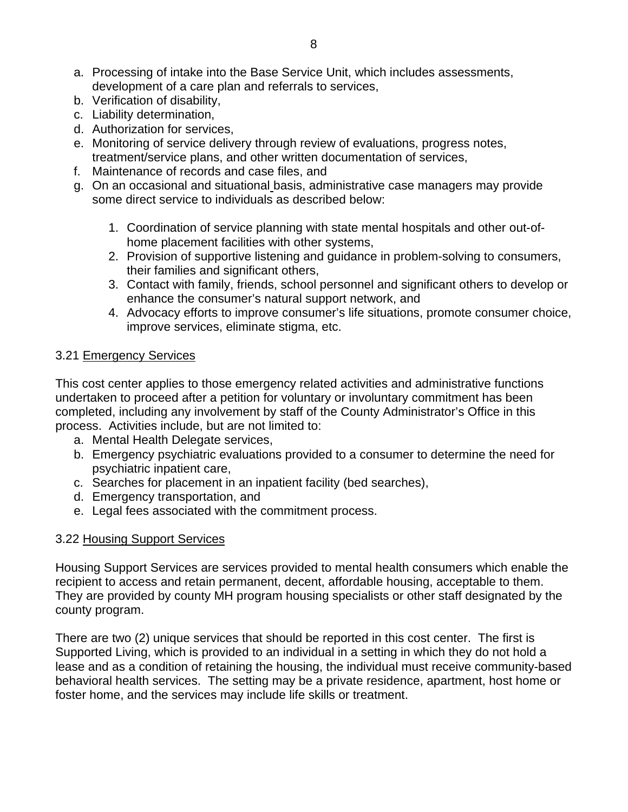- a. Processing of intake into the Base Service Unit, which includes assessments, development of a care plan and referrals to services,
- b. Verification of disability,
- c. Liability determination,
- d. Authorization for services,
- e. Monitoring of service delivery through review of evaluations, progress notes, treatment/service plans, and other written documentation of services,
- f. Maintenance of records and case files, and
- g. On an occasional and situational basis, administrative case managers may provide some direct service to individuals as described below:
	- 1. Coordination of service planning with state mental hospitals and other out-ofhome placement facilities with other systems,
	- 2. Provision of supportive listening and guidance in problem-solving to consumers, their families and significant others,
	- 3. Contact with family, friends, school personnel and significant others to develop or enhance the consumer's natural support network, and
	- 4. Advocacy efforts to improve consumer's life situations, promote consumer choice, improve services, eliminate stigma, etc.

#### 3.21 Emergency Services

This cost center applies to those emergency related activities and administrative functions undertaken to proceed after a petition for voluntary or involuntary commitment has been completed, including any involvement by staff of the County Administrator's Office in this process. Activities include, but are not limited to:

- a. Mental Health Delegate services,
- b. Emergency psychiatric evaluations provided to a consumer to determine the need for psychiatric inpatient care,
- c. Searches for placement in an inpatient facility (bed searches),
- d. Emergency transportation, and
- e. Legal fees associated with the commitment process.

#### 3.22 Housing Support Services

Housing Support Services are services provided to mental health consumers which enable the recipient to access and retain permanent, decent, affordable housing, acceptable to them. They are provided by county MH program housing specialists or other staff designated by the county program.

There are two (2) unique services that should be reported in this cost center. The first is Supported Living, which is provided to an individual in a setting in which they do not hold a lease and as a condition of retaining the housing, the individual must receive community-based behavioral health services. The setting may be a private residence, apartment, host home or foster home, and the services may include life skills or treatment.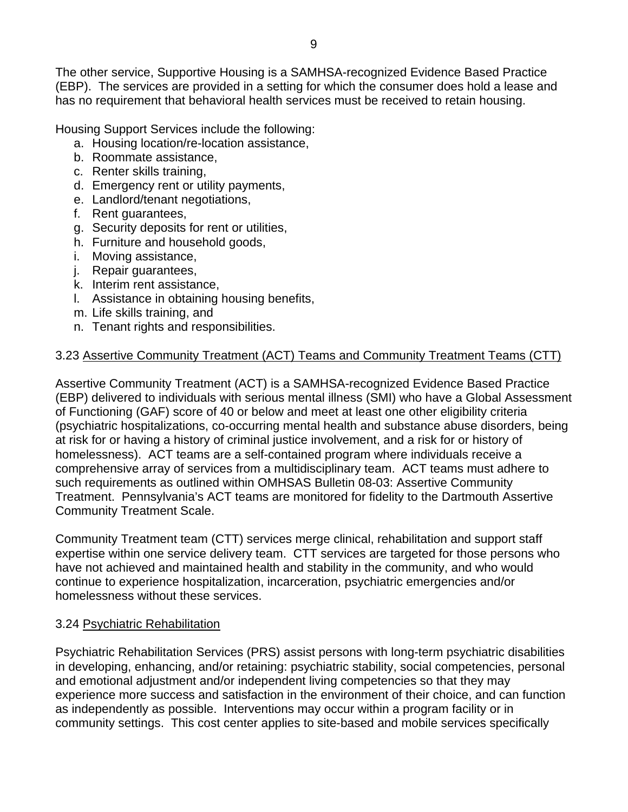The other service, Supportive Housing is a SAMHSA-recognized Evidence Based Practice (EBP). The services are provided in a setting for which the consumer does hold a lease and has no requirement that behavioral health services must be received to retain housing.

Housing Support Services include the following:

- a. Housing location/re-location assistance,
- b. Roommate assistance,
- c. Renter skills training,
- d. Emergency rent or utility payments,
- e. Landlord/tenant negotiations,
- f. Rent guarantees,
- g. Security deposits for rent or utilities,
- h. Furniture and household goods,
- i. Moving assistance,
- j. Repair guarantees,
- k. Interim rent assistance,
- l. Assistance in obtaining housing benefits,
- m. Life skills training, and
- n. Tenant rights and responsibilities.

### 3.23 Assertive Community Treatment (ACT) Teams and Community Treatment Teams (CTT)

Assertive Community Treatment (ACT) is a SAMHSA-recognized Evidence Based Practice (EBP) delivered to individuals with serious mental illness (SMI) who have a Global Assessment of Functioning (GAF) score of 40 or below and meet at least one other eligibility criteria (psychiatric hospitalizations, co-occurring mental health and substance abuse disorders, being at risk for or having a history of criminal justice involvement, and a risk for or history of homelessness). ACT teams are a self-contained program where individuals receive a comprehensive array of services from a multidisciplinary team. ACT teams must adhere to such requirements as outlined within OMHSAS Bulletin 08-03: Assertive Community Treatment. Pennsylvania's ACT teams are monitored for fidelity to the Dartmouth Assertive Community Treatment Scale.

Community Treatment team (CTT) services merge clinical, rehabilitation and support staff expertise within one service delivery team. CTT services are targeted for those persons who have not achieved and maintained health and stability in the community, and who would continue to experience hospitalization, incarceration, psychiatric emergencies and/or homelessness without these services.

#### 3.24 Psychiatric Rehabilitation

Psychiatric Rehabilitation Services (PRS) assist persons with long-term psychiatric disabilities in developing, enhancing, and/or retaining: psychiatric stability, social competencies, personal and emotional adjustment and/or independent living competencies so that they may experience more success and satisfaction in the environment of their choice, and can function as independently as possible. Interventions may occur within a program facility or in community settings. This cost center applies to site-based and mobile services specifically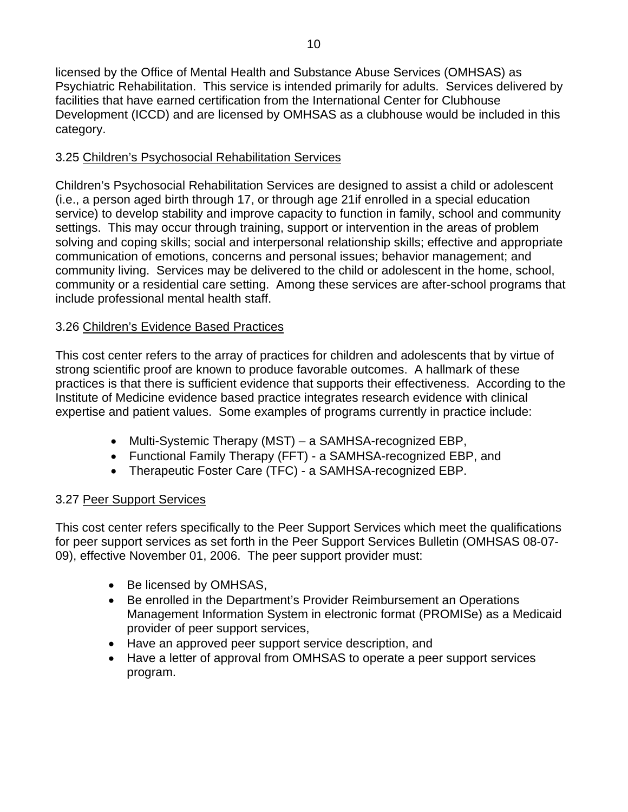licensed by the Office of Mental Health and Substance Abuse Services (OMHSAS) as Psychiatric Rehabilitation. This service is intended primarily for adults. Services delivered by facilities that have earned certification from the International Center for Clubhouse Development (ICCD) and are licensed by OMHSAS as a clubhouse would be included in this category.

# 3.25 Children's Psychosocial Rehabilitation Services

Children's Psychosocial Rehabilitation Services are designed to assist a child or adolescent (i.e., a person aged birth through 17, or through age 21if enrolled in a special education service) to develop stability and improve capacity to function in family, school and community settings. This may occur through training, support or intervention in the areas of problem solving and coping skills; social and interpersonal relationship skills; effective and appropriate communication of emotions, concerns and personal issues; behavior management; and community living. Services may be delivered to the child or adolescent in the home, school, community or a residential care setting. Among these services are after-school programs that include professional mental health staff.

# 3.26 Children's Evidence Based Practices

This cost center refers to the array of practices for children and adolescents that by virtue of strong scientific proof are known to produce favorable outcomes. A hallmark of these practices is that there is sufficient evidence that supports their effectiveness. According to the Institute of Medicine evidence based practice integrates research evidence with clinical expertise and patient values. Some examples of programs currently in practice include:

- Multi-Systemic Therapy (MST) a SAMHSA-recognized EBP,
- Functional Family Therapy (FFT) a SAMHSA-recognized EBP, and
- Therapeutic Foster Care (TFC) a SAMHSA-recognized EBP.

# 3.27 Peer Support Services

This cost center refers specifically to the Peer Support Services which meet the qualifications for peer support services as set forth in the Peer Support Services Bulletin (OMHSAS 08-07- 09), effective November 01, 2006. The peer support provider must:

- Be licensed by OMHSAS,
- Be enrolled in the Department's Provider Reimbursement an Operations Management Information System in electronic format (PROMISe) as a Medicaid provider of peer support services,
- Have an approved peer support service description, and
- Have a letter of approval from OMHSAS to operate a peer support services program.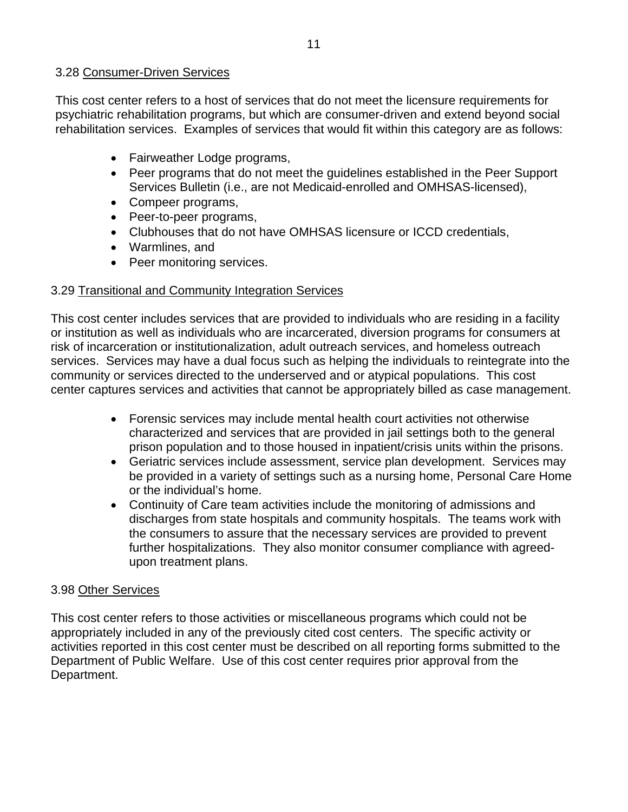#### 3.28 Consumer-Driven Services

This cost center refers to a host of services that do not meet the licensure requirements for psychiatric rehabilitation programs, but which are consumer-driven and extend beyond social rehabilitation services. Examples of services that would fit within this category are as follows:

- Fairweather Lodge programs,
- Peer programs that do not meet the guidelines established in the Peer Support Services Bulletin (i.e., are not Medicaid-enrolled and OMHSAS-licensed),
- Compeer programs,
- Peer-to-peer programs,
- Clubhouses that do not have OMHSAS licensure or ICCD credentials,
- Warmlines, and
- Peer monitoring services.

#### 3.29 Transitional and Community Integration Services

This cost center includes services that are provided to individuals who are residing in a facility or institution as well as individuals who are incarcerated, diversion programs for consumers at risk of incarceration or institutionalization, adult outreach services, and homeless outreach services. Services may have a dual focus such as helping the individuals to reintegrate into the community or services directed to the underserved and or atypical populations. This cost center captures services and activities that cannot be appropriately billed as case management.

- Forensic services may include mental health court activities not otherwise characterized and services that are provided in jail settings both to the general prison population and to those housed in inpatient/crisis units within the prisons.
- Geriatric services include assessment, service plan development. Services may be provided in a variety of settings such as a nursing home, Personal Care Home or the individual's home.
- Continuity of Care team activities include the monitoring of admissions and discharges from state hospitals and community hospitals. The teams work with the consumers to assure that the necessary services are provided to prevent further hospitalizations. They also monitor consumer compliance with agreedupon treatment plans.

#### 3.98 Other Services

This cost center refers to those activities or miscellaneous programs which could not be appropriately included in any of the previously cited cost centers. The specific activity or activities reported in this cost center must be described on all reporting forms submitted to the Department of Public Welfare. Use of this cost center requires prior approval from the Department.